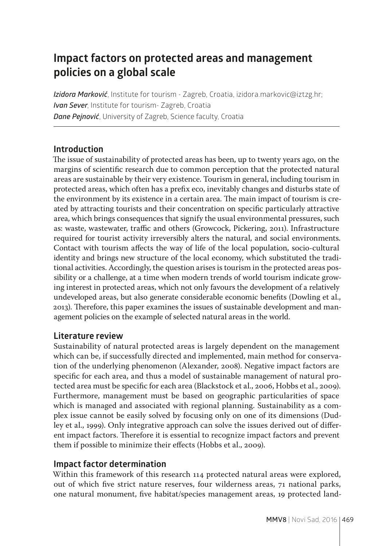# **Impact factors on protected areas and management policies on a global scale**

*Izidora Marković*, Institute for tourism - Zagreb, Croatia, izidora.markovic@iztzg.hr; *Ivan Sever*, Institute for tourism- Zagreb, Croatia *Dane Pejnović*, University of Zagreb, Science faculty, Croatia

#### **Introduction**

The issue of sustainability of protected areas has been, up to twenty years ago, on the margins of scientific research due to common perception that the protected natural areas are sustainable by their very existence. Tourism in general, including tourism in protected areas, which often has a prefix eco, inevitably changes and disturbs state of the environment by its existence in a certain area. The main impact of tourism is created by attracting tourists and their concentration on specific particularly attractive area, which brings consequences that signify the usual environmental pressures, such as: waste, wastewater, traffic and others (Growcock, Pickering, 2011). Infrastructure required for tourist activity irreversibly alters the natural, and social environments. Contact with tourism affects the way of life of the local population, socio-cultural identity and brings new structure of the local economy, which substituted the traditional activities. Accordingly, the question arises is tourism in the protected areas possibility or a challenge, at a time when modern trends of world tourism indicate growing interest in protected areas, which not only favours the development of a relatively undeveloped areas, but also generate considerable economic benefits (Dowling et al., 2013). Therefore, this paper examines the issues of sustainable development and management policies on the example of selected natural areas in the world.

### **Literature review**

Sustainability of natural protected areas is largely dependent on the management which can be, if successfully directed and implemented, main method for conservation of the underlying phenomenon (Alexander, 2008). Negative impact factors are specific for each area, and thus a model of sustainable management of natural protected area must be specific for each area (Blackstock et al., 2006, Hobbs et al., 2009). Furthermore, management must be based on geographic particularities of space which is managed and associated with regional planning. Sustainability as a complex issue cannot be easily solved by focusing only on one of its dimensions (Dudley et al., 1999). Only integrative approach can solve the issues derived out of different impact factors. Therefore it is essential to recognize impact factors and prevent them if possible to minimize their effects (Hobbs et al., 2009).

### **Impact factor determination**

Within this framework of this research 114 protected natural areas were explored, out of which five strict nature reserves, four wilderness areas, 71 national parks, one natural monument, five habitat/species management areas, 19 protected land-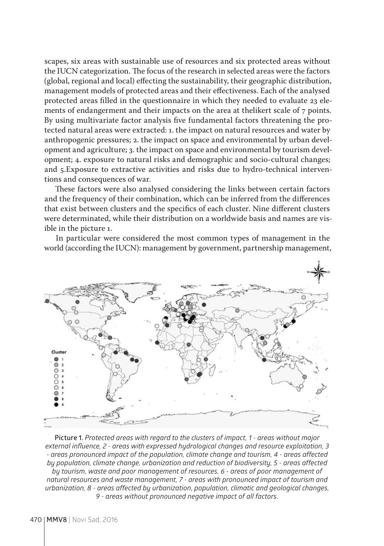scapes, six areas with sustainable use of resources and six protected areas without the IUCN categorization. The focus of the research in selected areas were the factors (global, regional and local) effecting the sustainability, their geographic distribution, management models of protected areas and their effectiveness. Each of the analysed protected areas filled in the questionnaire in which they needed to evaluate 23 elements of endangerment and their impacts on the area at thelikert scale of 7 points. By using multivariate factor analysis five fundamental factors threatening the protected natural areas were extracted: 1. the impact on natural resources and water by anthropogenic pressures; 2. the impact on space and environmental by urban development and agriculture; 3. the impact on space and environmental by tourism development; 4. exposure to natural risks and demographic and socio-cultural changes; and 5.Exposure to extractive activities and risks due to hydro-technical interventions and consequences of war.

These factors were also analysed considering the links between certain factors and the frequency of their combination, which can be inferred from the differences that exist between clusters and the specifics of each cluster. Nine different clusters were determinated, while their distribution on a worldwide basis and names are visible in the picture 1.

In particular were considered the most common types of management in the world (according the IUCN): management by government, partnership management,



**Picture 1.** *Protected areas with regard to the clusters of impact, 1 - areas without major external influence, 2 - areas with expressed hydrological changes and resource exploitation, 3 - areas pronounced impact of the population, climate change and tourism, 4 - areas affected by population, climate change, urbanization and reduction of biodiversity, 5 - areas affected by tourism, waste and poor management of resources, 6 - areas of poor management of natural resources and waste management, 7 - areas with pronounced impact of tourism and urbanization, 8 - areas affected by urbanization, population, climatic and geological changes, 9 - areas without pronounced negative impact of all factors.*